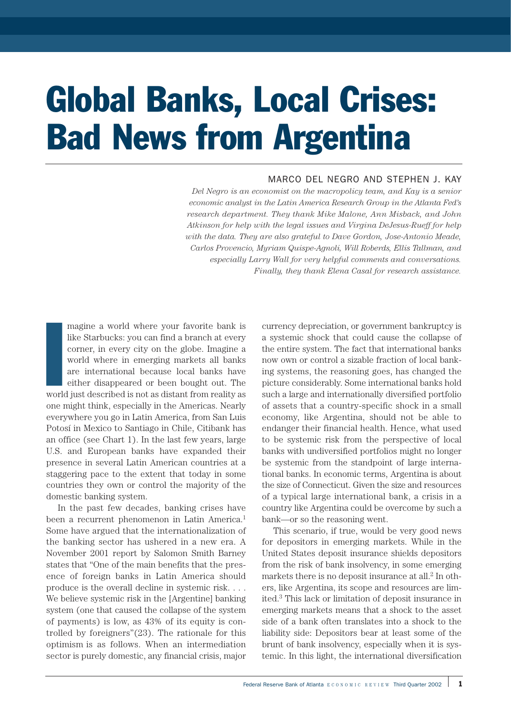# Global Banks, Local Crises: Bad News from Argentina

# MARCO DEL NEGRO AND STEPHEN J. KAY

*Del Negro is an economist on the macropolicy team, and Kay is a senior economic analyst in the Latin America Research Group in the Atlanta Fed's research department. They thank Mike Malone, Ann Misback, and John Atkinson for help with the legal issues and Virgina DeJesus-Rueff for help with the data. They are also grateful to Dave Gordon, Jose-Antonio Meade, Carlos Provencio, Myriam Quispe-Agnoli, Will Roberds, Ellis Tallman, and especially Larry Wall for very helpful comments and conversations. Finally, they thank Elena Casal for research assistance.*

I magine a world where your favorite bank is like Starbucks: you can find a branch at every corner, in every city on the globe. Imagine a world where in emerging markets all banks are international because local banks have either disappeared or been bought out. The world just described is not as distant from reality as one might think, especially in the Americas. Nearly everywhere you go in Latin America, from San Luis Potosí in Mexico to Santiago in Chile, Citibank has an office (see Chart 1). In the last few years, large U.S. and European banks have expanded their presence in several Latin American countries at a staggering pace to the extent that today in some countries they own or control the majority of the domestic banking system.

In the past few decades, banking crises have been a recurrent phenomenon in Latin America.<sup>1</sup> Some have argued that the internationalization of the banking sector has ushered in a new era. A November 2001 report by Salomon Smith Barney states that "One of the main benefits that the presence of foreign banks in Latin America should produce is the overall decline in systemic risk. . . . We believe systemic risk in the [Argentine] banking system (one that caused the collapse of the system of payments) is low, as 43% of its equity is controlled by foreigners"(23). The rationale for this optimism is as follows. When an intermediation sector is purely domestic, any financial crisis, major

currency depreciation, or government bankruptcy is a systemic shock that could cause the collapse of the entire system. The fact that international banks now own or control a sizable fraction of local banking systems, the reasoning goes, has changed the picture considerably. Some international banks hold such a large and internationally diversified portfolio of assets that a country-specific shock in a small economy, like Argentina, should not be able to endanger their financial health. Hence, what used to be systemic risk from the perspective of local banks with undiversified portfolios might no longer be systemic from the standpoint of large international banks. In economic terms, Argentina is about the size of Connecticut. Given the size and resources of a typical large international bank, a crisis in a country like Argentina could be overcome by such a bank—or so the reasoning went.

This scenario, if true, would be very good news for depositors in emerging markets. While in the United States deposit insurance shields depositors from the risk of bank insolvency, in some emerging markets there is no deposit insurance at all. $<sup>2</sup>$  In oth-</sup> ers, like Argentina, its scope and resources are limited.3 This lack or limitation of deposit insurance in emerging markets means that a shock to the asset side of a bank often translates into a shock to the liability side: Depositors bear at least some of the brunt of bank insolvency, especially when it is systemic. In this light, the international diversification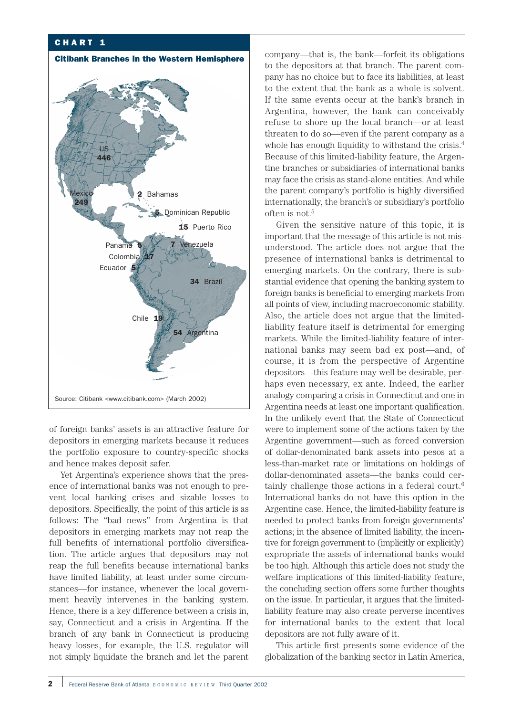## CHART 1



of foreign banks' assets is an attractive feature for depositors in emerging markets because it reduces the portfolio exposure to country-specific shocks and hence makes deposit safer.

Yet Argentina's experience shows that the presence of international banks was not enough to prevent local banking crises and sizable losses to depositors. Specifically, the point of this article is as follows: The "bad news" from Argentina is that depositors in emerging markets may not reap the full benefits of international portfolio diversification. The article argues that depositors may not reap the full benefits because international banks have limited liability, at least under some circumstances—for instance, whenever the local government heavily intervenes in the banking system. Hence, there is a key difference between a crisis in, say, Connecticut and a crisis in Argentina. If the branch of any bank in Connecticut is producing heavy losses, for example, the U.S. regulator will not simply liquidate the branch and let the parent company—that is, the bank—forfeit its obligations to the depositors at that branch. The parent company has no choice but to face its liabilities, at least to the extent that the bank as a whole is solvent. If the same events occur at the bank's branch in Argentina, however, the bank can conceivably refuse to shore up the local branch—or at least threaten to do so—even if the parent company as a whole has enough liquidity to withstand the crisis.<sup>4</sup> Because of this limited-liability feature, the Argentine branches or subsidiaries of international banks may face the crisis as stand-alone entities. And while the parent company's portfolio is highly diversified internationally, the branch's or subsidiary's portfolio often is not.5

Given the sensitive nature of this topic, it is important that the message of this article is not misunderstood. The article does not argue that the presence of international banks is detrimental to emerging markets. On the contrary, there is substantial evidence that opening the banking system to foreign banks is beneficial to emerging markets from all points of view, including macroeconomic stability. Also, the article does not argue that the limitedliability feature itself is detrimental for emerging markets. While the limited-liability feature of international banks may seem bad ex post—and, of course, it is from the perspective of Argentine depositors—this feature may well be desirable, perhaps even necessary, ex ante. Indeed, the earlier analogy comparing a crisis in Connecticut and one in Argentina needs at least one important qualification. In the unlikely event that the State of Connecticut were to implement some of the actions taken by the Argentine government—such as forced conversion of dollar-denominated bank assets into pesos at a less-than-market rate or limitations on holdings of dollar-denominated assets—the banks could certainly challenge those actions in a federal court.6 International banks do not have this option in the Argentine case. Hence, the limited-liability feature is needed to protect banks from foreign governments' actions; in the absence of limited liability, the incentive for foreign government to (implicitly or explicitly) expropriate the assets of international banks would be too high. Although this article does not study the welfare implications of this limited-liability feature, the concluding section offers some further thoughts on the issue. In particular, it argues that the limitedliability feature may also create perverse incentives for international banks to the extent that local depositors are not fully aware of it.

This article first presents some evidence of the globalization of the banking sector in Latin America,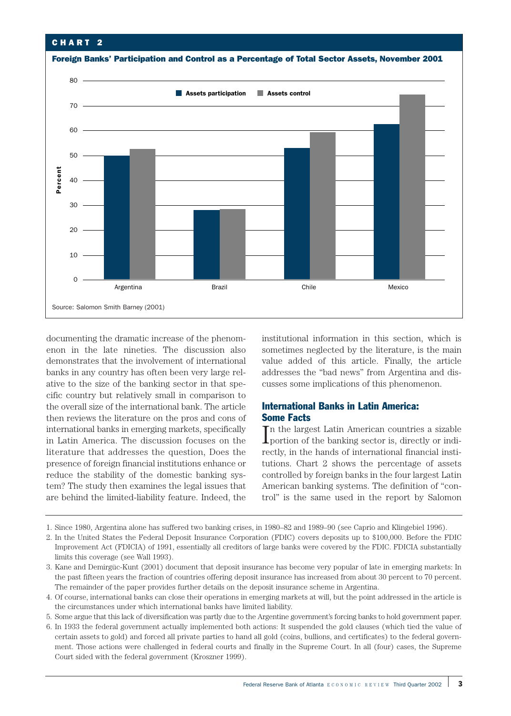## CHART 2



documenting the dramatic increase of the phenomenon in the late nineties. The discussion also demonstrates that the involvement of international banks in any country has often been very large relative to the size of the banking sector in that specific country but relatively small in comparison to the overall size of the international bank. The article then reviews the literature on the pros and cons of international banks in emerging markets, specifically in Latin America. The discussion focuses on the literature that addresses the question, Does the presence of foreign financial institutions enhance or reduce the stability of the domestic banking system? The study then examines the legal issues that are behind the limited-liability feature. Indeed, the

institutional information in this section, which is sometimes neglected by the literature, is the main value added of this article. Finally, the article addresses the "bad news" from Argentina and discusses some implications of this phenomenon.

## International Banks in Latin America: Some Facts

 $\begin{array}{l} \prod \limits_{i=1}^{n} \text{the largest Latin American countries a sizable} \\ \text{proction of the banking sector is, directly or indi-} \end{array}$ n the largest Latin American countries a sizable rectly, in the hands of international financial institutions. Chart 2 shows the percentage of assets controlled by foreign banks in the four largest Latin American banking systems. The definition of "control" is the same used in the report by Salomon

1. Since 1980, Argentina alone has suffered two banking crises, in 1980–82 and 1989–90 (see Caprio and Klingebiel 1996).

- 2. In the United States the Federal Deposit Insurance Corporation (FDIC) covers deposits up to \$100,000. Before the FDIC Improvement Act (FDICIA) of 1991, essentially all creditors of large banks were covered by the FDIC. FDICIA substantially limits this coverage (see Wall 1993).
- 3. Kane and Demirgüc-Kunt (2001) document that deposit insurance has become very popular of late in emerging markets: In the past fifteen years the fraction of countries offering deposit insurance has increased from about 30 percent to 70 percent. The remainder of the paper provides further details on the deposit insurance scheme in Argentina.
- 4. Of course, international banks can close their operations in emerging markets at will, but the point addressed in the article is the circumstances under which international banks have limited liability.

5. Some argue that this lack of diversification was partly due to the Argentine government's forcing banks to hold government paper.

6. In 1933 the federal government actually implemented both actions: It suspended the gold clauses (which tied the value of certain assets to gold) and forced all private parties to hand all gold (coins, bullions, and certificates) to the federal government. Those actions were challenged in federal courts and finally in the Supreme Court. In all (four) cases, the Supreme Court sided with the federal government (Kroszner 1999).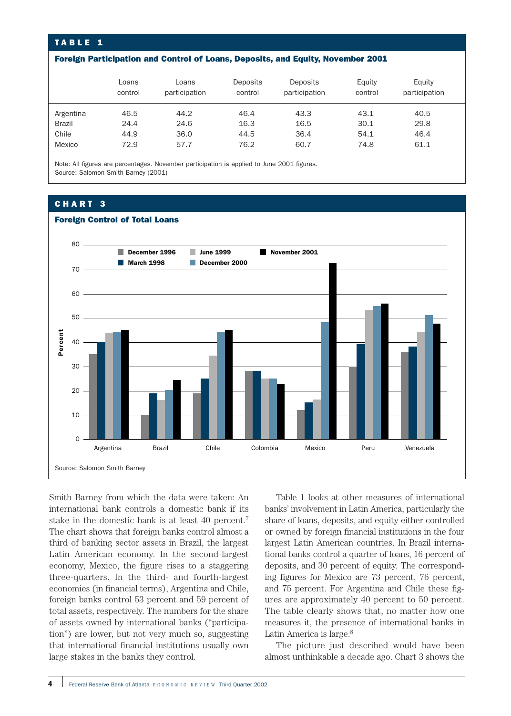## TABLE 1

#### Foreign Participation and Control of Loans, Deposits, and Equity, November 2001

|               | Loans<br>control | Loans<br>participation | Deposits<br>control | Deposits<br>participation | Equity<br>control | Equity<br>participation |
|---------------|------------------|------------------------|---------------------|---------------------------|-------------------|-------------------------|
| Argentina     | 46.5             | 44.2                   | 46.4                | 43.3                      | 43.1              | 40.5                    |
| <b>Brazil</b> | 24.4             | 24.6                   | 16.3                | 16.5                      | 30.1              | 29.8                    |
| Chile         | 44.9             | 36.0                   | 44.5                | 36.4                      | 54.1              | 46.4                    |
| Mexico        | 72.9             | 57.7                   | 76.2                | 60.7                      | 74.8              | 61.1                    |

Note: All figures are percentages. November participation is applied to June 2001 figures. Source: Salomon Smith Barney (2001)

## CHART 3



Smith Barney from which the data were taken: An international bank controls a domestic bank if its stake in the domestic bank is at least 40 percent.7 The chart shows that foreign banks control almost a third of banking sector assets in Brazil, the largest Latin American economy. In the second-largest economy, Mexico, the figure rises to a staggering three-quarters. In the third- and fourth-largest economies (in financial terms), Argentina and Chile, foreign banks control 53 percent and 59 percent of total assets, respectively. The numbers for the share of assets owned by international banks ("participation") are lower, but not very much so, suggesting that international financial institutions usually own large stakes in the banks they control.

Table 1 looks at other measures of international banks' involvement in Latin America, particularly the share of loans, deposits, and equity either controlled or owned by foreign financial institutions in the four largest Latin American countries. In Brazil international banks control a quarter of loans, 16 percent of deposits, and 30 percent of equity. The corresponding figures for Mexico are 73 percent, 76 percent, and 75 percent. For Argentina and Chile these figures are approximately 40 percent to 50 percent. The table clearly shows that, no matter how one measures it, the presence of international banks in Latin America is large.<sup>8</sup>

The picture just described would have been almost unthinkable a decade ago. Chart 3 shows the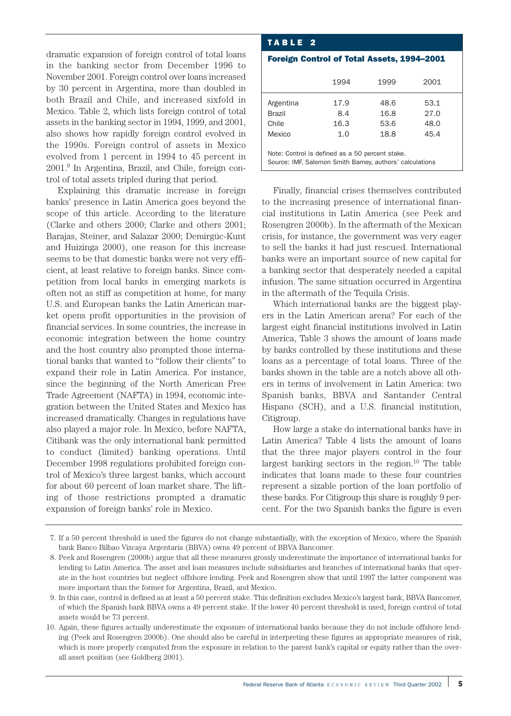dramatic expansion of foreign control of total loans in the banking sector from December 1996 to November 2001. Foreign control over loans increased by 30 percent in Argentina, more than doubled in both Brazil and Chile, and increased sixfold in Mexico. Table 2, which lists foreign control of total assets in the banking sector in 1994, 1999, and 2001, also shows how rapidly foreign control evolved in the 1990s. Foreign control of assets in Mexico evolved from 1 percent in 1994 to 45 percent in 2001.9 In Argentina, Brazil, and Chile, foreign control of total assets tripled during that period.

Explaining this dramatic increase in foreign banks' presence in Latin America goes beyond the scope of this article. According to the literature (Clarke and others 2000; Clarke and others 2001; Barajas, Steiner, and Salazar 2000; Demirgüc-Kunt and Huizinga 2000), one reason for this increase seems to be that domestic banks were not very efficient, at least relative to foreign banks. Since competition from local banks in emerging markets is often not as stiff as competition at home, for many U.S. and European banks the Latin American market opens profit opportunities in the provision of financial services. In some countries, the increase in economic integration between the home country and the host country also prompted those international banks that wanted to "follow their clients" to expand their role in Latin America. For instance, since the beginning of the North American Free Trade Agreement (NAFTA) in 1994, economic integration between the United States and Mexico has increased dramatically. Changes in regulations have also played a major role. In Mexico, before NAFTA, Citibank was the only international bank permitted to conduct (limited) banking operations. Until December 1998 regulations prohibited foreign control of Mexico's three largest banks, which account for about 60 percent of loan market share. The lifting of those restrictions prompted a dramatic expansion of foreign banks' role in Mexico.

### TABLE 2

#### Foreign Control of Total Assets, 1994–2001

|                                                          | 1994 | 1999 | 2001 |  |  |  |  |
|----------------------------------------------------------|------|------|------|--|--|--|--|
| Argentina                                                | 17.9 | 48.6 | 53.1 |  |  |  |  |
| <b>Brazil</b>                                            | 8.4  | 16.8 | 27.0 |  |  |  |  |
| Chile                                                    | 16.3 | 53.6 | 48.0 |  |  |  |  |
| Mexico                                                   | 1.0  | 18.8 | 45.4 |  |  |  |  |
|                                                          |      |      |      |  |  |  |  |
| Note: Control is defined as a 50 percent stake.          |      |      |      |  |  |  |  |
| Source: IMF, Salomon Smith Barney, authors' calculations |      |      |      |  |  |  |  |

Finally, financial crises themselves contributed to the increasing presence of international financial institutions in Latin America (see Peek and Rosengren 2000b). In the aftermath of the Mexican crisis, for instance, the government was very eager to sell the banks it had just rescued. International banks were an important source of new capital for a banking sector that desperately needed a capital infusion. The same situation occurred in Argentina in the aftermath of the Tequila Crisis.

Which international banks are the biggest players in the Latin American arena? For each of the largest eight financial institutions involved in Latin America, Table 3 shows the amount of loans made by banks controlled by these institutions and these loans as a percentage of total loans. Three of the banks shown in the table are a notch above all others in terms of involvement in Latin America: two Spanish banks, BBVA and Santander Central Hispano (SCH), and a U.S. financial institution, Citigroup.

How large a stake do international banks have in Latin America? Table 4 lists the amount of loans that the three major players control in the four largest banking sectors in the region.10 The table indicates that loans made to these four countries represent a sizable portion of the loan portfolio of these banks. For Citigroup this share is roughly 9 percent. For the two Spanish banks the figure is even

<sup>7.</sup> If a 50 percent threshold is used the figures do not change substantially, with the exception of Mexico, where the Spanish bank Banco Bilbao Vizcaya Argentaria (BBVA) owns 49 percent of BBVA Bancomer.

<sup>8.</sup> Peek and Rosengren (2000b) argue that all these measures grossly underestimate the importance of international banks for lending to Latin America. The asset and loan measures include subsidiaries and branches of international banks that operate in the host countries but neglect offshore lending. Peek and Rosengren show that until 1997 the latter component was more important than the former for Argentina, Brazil, and Mexico.

<sup>9.</sup> In this case, control is defined as at least a 50 percent stake. This definition excludes Mexico's largest bank, BBVA Bancomer, of which the Spanish bank BBVA owns a 49 percent stake. If the lower 40 percent threshold is used, foreign control of total assets would be 73 percent.

<sup>10.</sup> Again, these figures actually underestimate the exposure of international banks because they do not include offshore lending (Peek and Rosengren 2000b). One should also be careful in interpreting these figures as appropriate measures of risk, which is more properly computed from the exposure in relation to the parent bank's capital or equity rather than the overall asset position (see Goldberg 2001).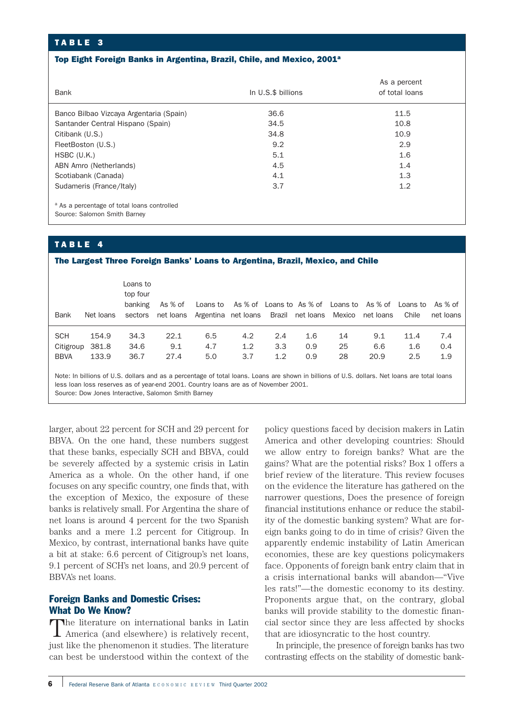## TABLE 3

#### Top Eight Foreign Banks in Argentina, Brazil, Chile, and Mexico, 2001<sup>a</sup>

| Bank                                                                                   | In U.S.\$ billions | As a percent<br>of total loans |  |  |
|----------------------------------------------------------------------------------------|--------------------|--------------------------------|--|--|
| Banco Bilbao Vizcaya Argentaria (Spain)                                                | 36.6               | 11.5                           |  |  |
| Santander Central Hispano (Spain)                                                      | 34.5               | 10.8                           |  |  |
| Citibank (U.S.)                                                                        | 34.8               | 10.9                           |  |  |
| FleetBoston (U.S.)                                                                     | 9.2                | 2.9                            |  |  |
| $HSBC$ (U.K.)                                                                          | 5.1                | 1.6                            |  |  |
| ABN Amro (Netherlands)                                                                 | 4.5                | 1.4                            |  |  |
| Scotiabank (Canada)                                                                    | 4.1                | 1.3                            |  |  |
| Sudameris (France/Italy)                                                               | 3.7                | 1.2                            |  |  |
| <sup>a</sup> As a percentage of total loans controlled<br>Source: Salomon Smith Barney |                    |                                |  |  |

## TABLE 4

#### The Largest Three Foreign Banks' Loans to Argentina, Brazil, Mexico, and Chile

| Bank        | Net Ioans | Loans to<br>top four<br>banking | As % of<br>sectors net loans Argentina net loans Brazil net loans Mexico net loans                                                           |     | Loans to As % of Loans to As % of Loans to As % of Loans to |     |     |    |      | Chile | As % of<br>net loans |
|-------------|-----------|---------------------------------|----------------------------------------------------------------------------------------------------------------------------------------------|-----|-------------------------------------------------------------|-----|-----|----|------|-------|----------------------|
| <b>SCH</b>  | 154.9     | 34.3                            | 22.1                                                                                                                                         | 6.5 | 4.2                                                         | 2.4 | 1.6 | 14 | 9.1  | 11.4  | 7.4                  |
| Citigroup   | 381.8     | 34.6                            | 9.1                                                                                                                                          | 4.7 | 1.2                                                         | 3.3 | 0.9 | 25 | 6.6  | 1.6   | 0.4                  |
| <b>BBVA</b> | 133.9     | 36.7                            | 27.4                                                                                                                                         | 5.0 | 3.7                                                         | 1.2 | 0.9 | 28 | 20.9 | 2.5   | 1.9                  |
|             |           |                                 | Note: In billions of U.S. dollars and as a percentage of total loans. Loans are shown in billions of U.S. dollars. Net loans are total loans |     |                                                             |     |     |    |      |       |                      |

Note: In billions of U.S. dollars and as a percentage of total loans. Loans are shown in billions of U.S. dollars. Net loans are total loans less loan loss reserves as of year-end 2001. Country loans are as of November 2001. Source: Dow Jones Interactive, Salomon Smith Barney

larger, about 22 percent for SCH and 29 percent for BBVA. On the one hand, these numbers suggest that these banks, especially SCH and BBVA, could be severely affected by a systemic crisis in Latin America as a whole. On the other hand, if one focuses on any specific country, one finds that, with the exception of Mexico, the exposure of these banks is relatively small. For Argentina the share of net loans is around 4 percent for the two Spanish banks and a mere 1.2 percent for Citigroup. In Mexico, by contrast, international banks have quite a bit at stake: 6.6 percent of Citigroup's net loans, 9.1 percent of SCH's net loans, and 20.9 percent of BBVA's net loans.

## Foreign Banks and Domestic Crises: What Do We Know?

The literature on international banks in Latin America (and elsewhere) is relatively recent, just like the phenomenon it studies. The literature can best be understood within the context of the policy questions faced by decision makers in Latin America and other developing countries: Should we allow entry to foreign banks? What are the gains? What are the potential risks? Box 1 offers a brief review of the literature. This review focuses on the evidence the literature has gathered on the narrower questions, Does the presence of foreign financial institutions enhance or reduce the stability of the domestic banking system? What are foreign banks going to do in time of crisis? Given the apparently endemic instability of Latin American economies, these are key questions policymakers face. Opponents of foreign bank entry claim that in a crisis international banks will abandon—"Vive les rats!"—the domestic economy to its destiny. Proponents argue that, on the contrary, global banks will provide stability to the domestic financial sector since they are less affected by shocks that are idiosyncratic to the host country.

In principle, the presence of foreign banks has two contrasting effects on the stability of domestic bank-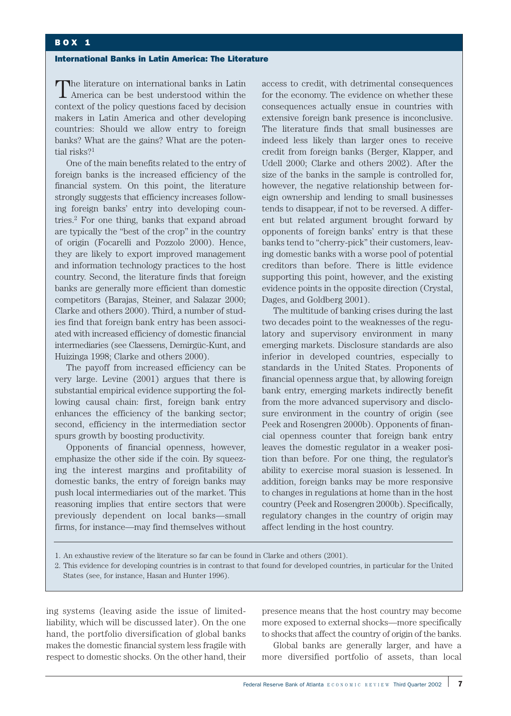#### International Banks in Latin America: The Literature

The literature on international banks in Latin America can be best understood within the context of the policy questions faced by decision makers in Latin America and other developing countries: Should we allow entry to foreign banks? What are the gains? What are the potential risks?<sup>1</sup>

One of the main benefits related to the entry of foreign banks is the increased efficiency of the financial system. On this point, the literature strongly suggests that efficiency increases following foreign banks' entry into developing countries.2 For one thing, banks that expand abroad are typically the "best of the crop" in the country of origin (Focarelli and Pozzolo 2000). Hence, they are likely to export improved management and information technology practices to the host country. Second, the literature finds that foreign banks are generally more efficient than domestic competitors (Barajas, Steiner, and Salazar 2000; Clarke and others 2000). Third, a number of studies find that foreign bank entry has been associated with increased efficiency of domestic financial intermediaries (see Claessens, Demirgüc-Kunt, and Huizinga 1998; Clarke and others 2000).

The payoff from increased efficiency can be very large. Levine (2001) argues that there is substantial empirical evidence supporting the following causal chain: first, foreign bank entry enhances the efficiency of the banking sector; second, efficiency in the intermediation sector spurs growth by boosting productivity.

Opponents of financial openness, however, emphasize the other side if the coin. By squeezing the interest margins and profitability of domestic banks, the entry of foreign banks may push local intermediaries out of the market. This reasoning implies that entire sectors that were previously dependent on local banks—small firms, for instance—may find themselves without access to credit, with detrimental consequences for the economy. The evidence on whether these consequences actually ensue in countries with extensive foreign bank presence is inconclusive. The literature finds that small businesses are indeed less likely than larger ones to receive credit from foreign banks (Berger, Klapper, and Udell 2000; Clarke and others 2002). After the size of the banks in the sample is controlled for, however, the negative relationship between foreign ownership and lending to small businesses tends to disappear, if not to be reversed. A different but related argument brought forward by opponents of foreign banks' entry is that these banks tend to "cherry-pick" their customers, leaving domestic banks with a worse pool of potential creditors than before. There is little evidence supporting this point, however, and the existing evidence points in the opposite direction (Crystal, Dages, and Goldberg 2001).

The multitude of banking crises during the last two decades point to the weaknesses of the regulatory and supervisory environment in many emerging markets. Disclosure standards are also inferior in developed countries, especially to standards in the United States. Proponents of financial openness argue that, by allowing foreign bank entry, emerging markets indirectly benefit from the more advanced supervisory and disclosure environment in the country of origin (see Peek and Rosengren 2000b). Opponents of financial openness counter that foreign bank entry leaves the domestic regulator in a weaker position than before. For one thing, the regulator's ability to exercise moral suasion is lessened. In addition, foreign banks may be more responsive to changes in regulations at home than in the host country (Peek and Rosengren 2000b). Specifically, regulatory changes in the country of origin may affect lending in the host country.

1. An exhaustive review of the literature so far can be found in Clarke and others (2001).

2. This evidence for developing countries is in contrast to that found for developed countries, in particular for the United States (see, for instance, Hasan and Hunter 1996).

ing systems (leaving aside the issue of limitedliability, which will be discussed later). On the one hand, the portfolio diversification of global banks makes the domestic financial system less fragile with respect to domestic shocks. On the other hand, their presence means that the host country may become more exposed to external shocks—more specifically to shocks that affect the country of origin of the banks.

Global banks are generally larger, and have a more diversified portfolio of assets, than local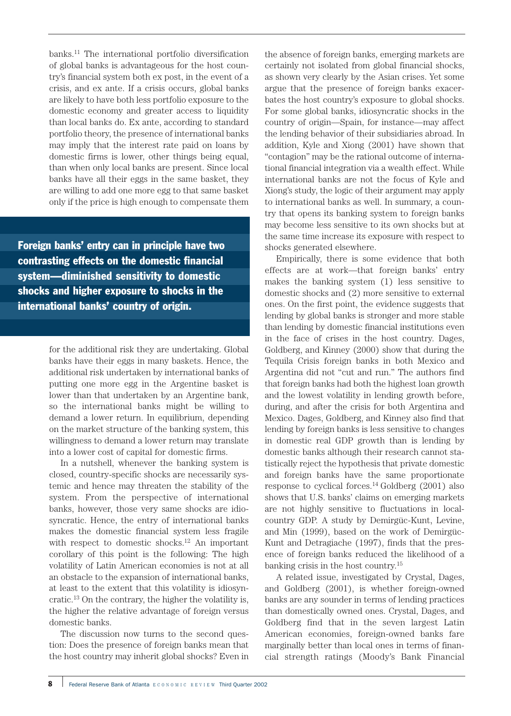banks.11 The international portfolio diversification of global banks is advantageous for the host country's financial system both ex post, in the event of a crisis, and ex ante. If a crisis occurs, global banks are likely to have both less portfolio exposure to the domestic economy and greater access to liquidity than local banks do. Ex ante, according to standard portfolio theory, the presence of international banks may imply that the interest rate paid on loans by domestic firms is lower, other things being equal, than when only local banks are present. Since local banks have all their eggs in the same basket, they are willing to add one more egg to that same basket only if the price is high enough to compensate them

Foreign banks' entry can in principle have two contrasting effects on the domestic financial system—diminished sensitivity to domestic shocks and higher exposure to shocks in the international banks' country of origin.

> for the additional risk they are undertaking. Global banks have their eggs in many baskets. Hence, the additional risk undertaken by international banks of putting one more egg in the Argentine basket is lower than that undertaken by an Argentine bank, so the international banks might be willing to demand a lower return. In equilibrium, depending on the market structure of the banking system, this willingness to demand a lower return may translate into a lower cost of capital for domestic firms.

> In a nutshell, whenever the banking system is closed, country-specific shocks are necessarily systemic and hence may threaten the stability of the system. From the perspective of international banks, however, those very same shocks are idiosyncratic. Hence, the entry of international banks makes the domestic financial system less fragile with respect to domestic shocks.12 An important corollary of this point is the following: The high volatility of Latin American economies is not at all an obstacle to the expansion of international banks, at least to the extent that this volatility is idiosyncratic.13 On the contrary, the higher the volatility is, the higher the relative advantage of foreign versus domestic banks.

> The discussion now turns to the second question: Does the presence of foreign banks mean that the host country may inherit global shocks? Even in

the absence of foreign banks, emerging markets are certainly not isolated from global financial shocks, as shown very clearly by the Asian crises. Yet some argue that the presence of foreign banks exacerbates the host country's exposure to global shocks. For some global banks, idiosyncratic shocks in the country of origin—Spain, for instance—may affect the lending behavior of their subsidiaries abroad. In addition, Kyle and Xiong (2001) have shown that "contagion" may be the rational outcome of international financial integration via a wealth effect. While international banks are not the focus of Kyle and Xiong's study, the logic of their argument may apply to international banks as well. In summary, a country that opens its banking system to foreign banks may become less sensitive to its own shocks but at the same time increase its exposure with respect to shocks generated elsewhere.

Empirically, there is some evidence that both effects are at work—that foreign banks' entry makes the banking system (1) less sensitive to domestic shocks and (2) more sensitive to external ones. On the first point, the evidence suggests that lending by global banks is stronger and more stable than lending by domestic financial institutions even in the face of crises in the host country. Dages, Goldberg, and Kinney (2000) show that during the Tequila Crisis foreign banks in both Mexico and Argentina did not "cut and run." The authors find that foreign banks had both the highest loan growth and the lowest volatility in lending growth before, during, and after the crisis for both Argentina and Mexico. Dages, Goldberg, and Kinney also find that lending by foreign banks is less sensitive to changes in domestic real GDP growth than is lending by domestic banks although their research cannot statistically reject the hypothesis that private domestic and foreign banks have the same proportionate response to cyclical forces. $^{14}$  Goldberg (2001) also shows that U.S. banks' claims on emerging markets are not highly sensitive to fluctuations in localcountry GDP. A study by Demirgüc-Kunt, Levine, and Min (1999), based on the work of Demirgüc-Kunt and Detragiache (1997), finds that the presence of foreign banks reduced the likelihood of a banking crisis in the host country.15

A related issue, investigated by Crystal, Dages, and Goldberg (2001), is whether foreign-owned banks are any sounder in terms of lending practices than domestically owned ones. Crystal, Dages, and Goldberg find that in the seven largest Latin American economies, foreign-owned banks fare marginally better than local ones in terms of financial strength ratings (Moody's Bank Financial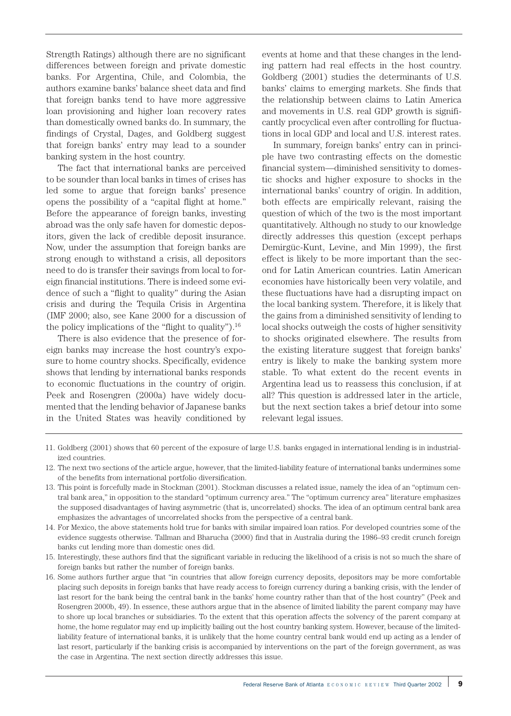Strength Ratings) although there are no significant differences between foreign and private domestic banks. For Argentina, Chile, and Colombia, the authors examine banks' balance sheet data and find that foreign banks tend to have more aggressive loan provisioning and higher loan recovery rates than domestically owned banks do. In summary, the findings of Crystal, Dages, and Goldberg suggest that foreign banks' entry may lead to a sounder banking system in the host country.

The fact that international banks are perceived to be sounder than local banks in times of crises has led some to argue that foreign banks' presence opens the possibility of a "capital flight at home." Before the appearance of foreign banks, investing abroad was the only safe haven for domestic depositors, given the lack of credible deposit insurance. Now, under the assumption that foreign banks are strong enough to withstand a crisis, all depositors need to do is transfer their savings from local to foreign financial institutions. There is indeed some evidence of such a "flight to quality" during the Asian crisis and during the Tequila Crisis in Argentina (IMF 2000; also, see Kane 2000 for a discussion of the policy implications of the "flight to quality" $^{16}$ .

There is also evidence that the presence of foreign banks may increase the host country's exposure to home country shocks. Specifically, evidence shows that lending by international banks responds to economic fluctuations in the country of origin. Peek and Rosengren (2000a) have widely documented that the lending behavior of Japanese banks in the United States was heavily conditioned by

events at home and that these changes in the lending pattern had real effects in the host country. Goldberg (2001) studies the determinants of U.S. banks' claims to emerging markets. She finds that the relationship between claims to Latin America and movements in U.S. real GDP growth is significantly procyclical even after controlling for fluctuations in local GDP and local and U.S. interest rates.

In summary, foreign banks' entry can in principle have two contrasting effects on the domestic financial system—diminished sensitivity to domestic shocks and higher exposure to shocks in the international banks' country of origin. In addition, both effects are empirically relevant, raising the question of which of the two is the most important quantitatively. Although no study to our knowledge directly addresses this question (except perhaps Demirgüc-Kunt, Levine, and Min 1999), the first effect is likely to be more important than the second for Latin American countries. Latin American economies have historically been very volatile, and these fluctuations have had a disrupting impact on the local banking system. Therefore, it is likely that the gains from a diminished sensitivity of lending to local shocks outweigh the costs of higher sensitivity to shocks originated elsewhere. The results from the existing literature suggest that foreign banks' entry is likely to make the banking system more stable. To what extent do the recent events in Argentina lead us to reassess this conclusion, if at all? This question is addressed later in the article, but the next section takes a brief detour into some relevant legal issues.

- 11. Goldberg (2001) shows that 60 percent of the exposure of large U.S. banks engaged in international lending is in industrialized countries.
- 12. The next two sections of the article argue, however, that the limited-liability feature of international banks undermines some of the benefits from international portfolio diversification.
- 13. This point is forcefully made in Stockman (2001). Stockman discusses a related issue, namely the idea of an "optimum central bank area," in opposition to the standard "optimum currency area." The "optimum currency area" literature emphasizes the supposed disadvantages of having asymmetric (that is, uncorrelated) shocks. The idea of an optimum central bank area emphasizes the advantages of uncorrelated shocks from the perspective of a central bank.
- 14. For Mexico, the above statements hold true for banks with similar impaired loan ratios. For developed countries some of the evidence suggests otherwise. Tallman and Bharucha (2000) find that in Australia during the 1986–93 credit crunch foreign banks cut lending more than domestic ones did.
- 15. Interestingly, these authors find that the significant variable in reducing the likelihood of a crisis is not so much the share of foreign banks but rather the number of foreign banks.
- 16. Some authors further argue that "in countries that allow foreign currency deposits, depositors may be more comfortable placing such deposits in foreign banks that have ready access to foreign currency during a banking crisis, with the lender of last resort for the bank being the central bank in the banks' home country rather than that of the host country" (Peek and Rosengren 2000b, 49). In essence, these authors argue that in the absence of limited liability the parent company may have to shore up local branches or subsidiaries. To the extent that this operation affects the solvency of the parent company at home, the home regulator may end up implicitly bailing out the host country banking system. However, because of the limitedliability feature of international banks, it is unlikely that the home country central bank would end up acting as a lender of last resort, particularly if the banking crisis is accompanied by interventions on the part of the foreign government, as was the case in Argentina. The next section directly addresses this issue.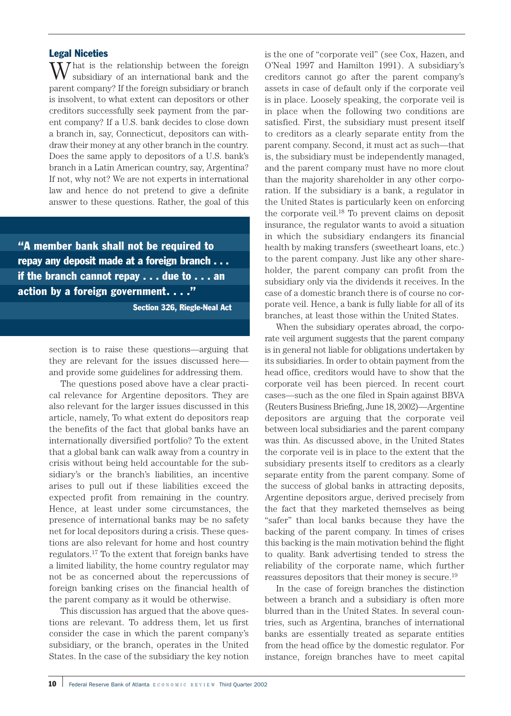## Legal Niceties

 $\sum_{i=1}^{n}$  at is the relationship between the foreign subsidiary of an international bank and the parent company? If the foreign subsidiary or branch is insolvent, to what extent can depositors or other creditors successfully seek payment from the parent company? If a U.S. bank decides to close down a branch in, say, Connecticut, depositors can withdraw their money at any other branch in the country. Does the same apply to depositors of a U.S. bank's branch in a Latin American country, say, Argentina? If not, why not? We are not experts in international law and hence do not pretend to give a definite answer to these questions. Rather, the goal of this

"A member bank shall not be required to repay any deposit made at a foreign branch . . . if the branch cannot repay . . . due to . . . an action by a foreign government. . . ."

Section 326, Riegle-Neal Act

section is to raise these questions—arguing that they are relevant for the issues discussed here and provide some guidelines for addressing them.

The questions posed above have a clear practical relevance for Argentine depositors. They are also relevant for the larger issues discussed in this article, namely, To what extent do depositors reap the benefits of the fact that global banks have an internationally diversified portfolio? To the extent that a global bank can walk away from a country in crisis without being held accountable for the subsidiary's or the branch's liabilities, an incentive arises to pull out if these liabilities exceed the expected profit from remaining in the country. Hence, at least under some circumstances, the presence of international banks may be no safety net for local depositors during a crisis. These questions are also relevant for home and host country regulators.17 To the extent that foreign banks have a limited liability, the home country regulator may not be as concerned about the repercussions of foreign banking crises on the financial health of the parent company as it would be otherwise.

This discussion has argued that the above questions are relevant. To address them, let us first consider the case in which the parent company's subsidiary, or the branch, operates in the United States. In the case of the subsidiary the key notion is the one of "corporate veil" (see Cox, Hazen, and O'Neal 1997 and Hamilton 1991). A subsidiary's creditors cannot go after the parent company's assets in case of default only if the corporate veil is in place. Loosely speaking, the corporate veil is in place when the following two conditions are satisfied. First, the subsidiary must present itself to creditors as a clearly separate entity from the parent company. Second, it must act as such—that is, the subsidiary must be independently managed, and the parent company must have no more clout than the majority shareholder in any other corporation. If the subsidiary is a bank, a regulator in the United States is particularly keen on enforcing the corporate veil.18 To prevent claims on deposit insurance, the regulator wants to avoid a situation in which the subsidiary endangers its financial health by making transfers (sweetheart loans, etc.) to the parent company. Just like any other shareholder, the parent company can profit from the subsidiary only via the dividends it receives. In the case of a domestic branch there is of course no corporate veil. Hence, a bank is fully liable for all of its branches, at least those within the United States.

When the subsidiary operates abroad, the corporate veil argument suggests that the parent company is in general not liable for obligations undertaken by its subsidiaries. In order to obtain payment from the head office, creditors would have to show that the corporate veil has been pierced. In recent court cases—such as the one filed in Spain against BBVA (Reuters Business Briefing, June 18, 2002)—Argentine depositors are arguing that the corporate veil between local subsidiaries and the parent company was thin. As discussed above, in the United States the corporate veil is in place to the extent that the subsidiary presents itself to creditors as a clearly separate entity from the parent company. Some of the success of global banks in attracting deposits, Argentine depositors argue, derived precisely from the fact that they marketed themselves as being "safer" than local banks because they have the backing of the parent company. In times of crises this backing is the main motivation behind the flight to quality. Bank advertising tended to stress the reliability of the corporate name, which further reassures depositors that their money is secure.19

In the case of foreign branches the distinction between a branch and a subsidiary is often more blurred than in the United States. In several countries, such as Argentina, branches of international banks are essentially treated as separate entities from the head office by the domestic regulator. For instance, foreign branches have to meet capital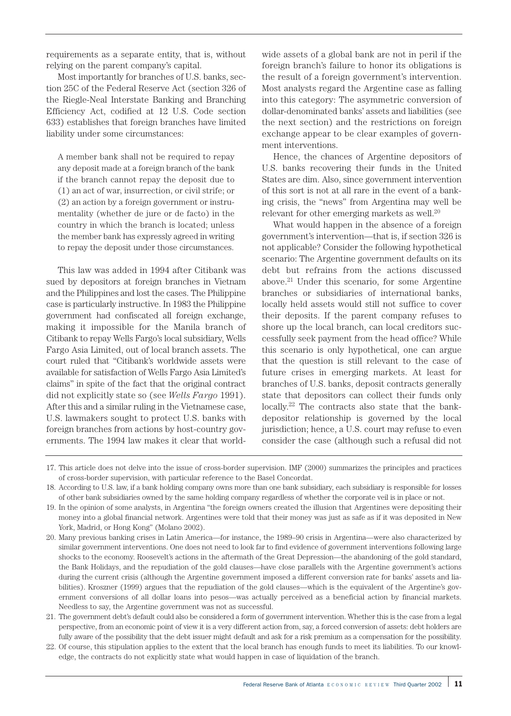requirements as a separate entity, that is, without relying on the parent company's capital.

Most importantly for branches of U.S. banks, section 25C of the Federal Reserve Act (section 326 of the Riegle-Neal Interstate Banking and Branching Efficiency Act, codified at 12 U.S. Code section 633) establishes that foreign branches have limited liability under some circumstances:

A member bank shall not be required to repay any deposit made at a foreign branch of the bank if the branch cannot repay the deposit due to (1) an act of war, insurrection, or civil strife; or (2) an action by a foreign government or instrumentality (whether de jure or de facto) in the country in which the branch is located; unless the member bank has expressly agreed in writing to repay the deposit under those circumstances.

This law was added in 1994 after Citibank was sued by depositors at foreign branches in Vietnam and the Philippines and lost the cases. The Philippine case is particularly instructive. In 1983 the Philippine government had confiscated all foreign exchange, making it impossible for the Manila branch of Citibank to repay Wells Fargo's local subsidiary, Wells Fargo Asia Limited, out of local branch assets. The court ruled that "Citibank's worldwide assets were available for satisfaction of Wells Fargo Asia Limited's claims" in spite of the fact that the original contract did not explicitly state so (see *Wells Fargo* 1991). After this and a similar ruling in the Vietnamese case, U.S. lawmakers sought to protect U.S. banks with foreign branches from actions by host-country governments. The 1994 law makes it clear that worldwide assets of a global bank are not in peril if the foreign branch's failure to honor its obligations is the result of a foreign government's intervention. Most analysts regard the Argentine case as falling into this category: The asymmetric conversion of dollar-denominated banks' assets and liabilities (see the next section) and the restrictions on foreign exchange appear to be clear examples of government interventions.

Hence, the chances of Argentine depositors of U.S. banks recovering their funds in the United States are dim. Also, since government intervention of this sort is not at all rare in the event of a banking crisis, the "news" from Argentina may well be relevant for other emerging markets as well.20

What would happen in the absence of a foreign government's intervention—that is, if section 326 is not applicable? Consider the following hypothetical scenario: The Argentine government defaults on its debt but refrains from the actions discussed above.21 Under this scenario, for some Argentine branches or subsidiaries of international banks, locally held assets would still not suffice to cover their deposits. If the parent company refuses to shore up the local branch, can local creditors successfully seek payment from the head office? While this scenario is only hypothetical, one can argue that the question is still relevant to the case of future crises in emerging markets. At least for branches of U.S. banks, deposit contracts generally state that depositors can collect their funds only locally.22 The contracts also state that the bankdepositor relationship is governed by the local jurisdiction; hence, a U.S. court may refuse to even consider the case (although such a refusal did not

<sup>17.</sup> This article does not delve into the issue of cross-border supervision. IMF (2000) summarizes the principles and practices of cross-border supervision, with particular reference to the Basel Concordat.

<sup>18.</sup> According to U.S. law, if a bank holding company owns more than one bank subsidiary, each subsidiary is responsible for losses of other bank subsidiaries owned by the same holding company regardless of whether the corporate veil is in place or not.

<sup>19.</sup> In the opinion of some analysts, in Argentina "the foreign owners created the illusion that Argentines were depositing their money into a global financial network. Argentines were told that their money was just as safe as if it was deposited in New York, Madrid, or Hong Kong" (Molano 2002).

<sup>20.</sup> Many previous banking crises in Latin America—for instance, the 1989–90 crisis in Argentina—were also characterized by similar government interventions. One does not need to look far to find evidence of government interventions following large shocks to the economy. Roosevelt's actions in the aftermath of the Great Depression—the abandoning of the gold standard, the Bank Holidays, and the repudiation of the gold clauses—have close parallels with the Argentine government's actions during the current crisis (although the Argentine government imposed a different conversion rate for banks' assets and liabilities). Kroszner (1999) argues that the repudiation of the gold clauses—which is the equivalent of the Argentine's government conversions of all dollar loans into pesos—was actually perceived as a beneficial action by financial markets. Needless to say, the Argentine government was not as successful.

<sup>21.</sup> The government debt's default could also be considered a form of government intervention. Whether this is the case from a legal perspective, from an economic point of view it is a very different action from, say, a forced conversion of assets: debt holders are fully aware of the possibility that the debt issuer might default and ask for a risk premium as a compensation for the possibility.

<sup>22.</sup> Of course, this stipulation applies to the extent that the local branch has enough funds to meet its liabilities. To our knowledge, the contracts do not explicitly state what would happen in case of liquidation of the branch.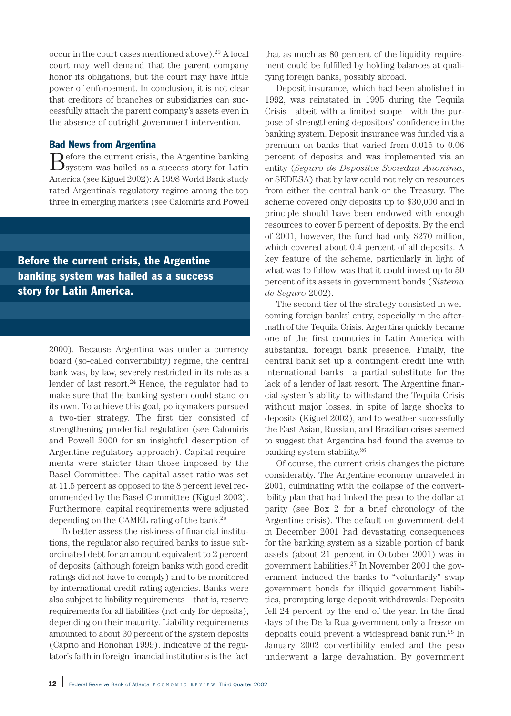occur in the court cases mentioned above).<sup>23</sup> A local court may well demand that the parent company honor its obligations, but the court may have little power of enforcement. In conclusion, it is not clear that creditors of branches or subsidiaries can successfully attach the parent company's assets even in the absence of outright government intervention.

## Bad News from Argentina

Before the current crisis, the Argentine banking system was hailed as a success story for Latin America (see Kiguel 2002): A 1998 World Bank study rated Argentina's regulatory regime among the top three in emerging markets (see Calomiris and Powell

Before the current crisis, the Argentine banking system was hailed as a success story for Latin America.

> 2000). Because Argentina was under a currency board (so-called convertibility) regime, the central bank was, by law, severely restricted in its role as a lender of last resort.<sup>24</sup> Hence, the regulator had to make sure that the banking system could stand on its own. To achieve this goal, policymakers pursued a two-tier strategy. The first tier consisted of strengthening prudential regulation (see Calomiris and Powell 2000 for an insightful description of Argentine regulatory approach). Capital requirements were stricter than those imposed by the Basel Committee: The capital asset ratio was set at 11.5 percent as opposed to the 8 percent level recommended by the Basel Committee (Kiguel 2002). Furthermore, capital requirements were adjusted depending on the CAMEL rating of the bank.25

> To better assess the riskiness of financial institutions, the regulator also required banks to issue subordinated debt for an amount equivalent to 2 percent of deposits (although foreign banks with good credit ratings did not have to comply) and to be monitored by international credit rating agencies. Banks were also subject to liability requirements—that is, reserve requirements for all liabilities (not only for deposits), depending on their maturity. Liability requirements amounted to about 30 percent of the system deposits (Caprio and Honohan 1999). Indicative of the regulator's faith in foreign financial institutions is the fact

that as much as 80 percent of the liquidity requirement could be fulfilled by holding balances at qualifying foreign banks, possibly abroad.

Deposit insurance, which had been abolished in 1992, was reinstated in 1995 during the Tequila Crisis—albeit with a limited scope—with the purpose of strengthening depositors' confidence in the banking system. Deposit insurance was funded via a premium on banks that varied from 0.015 to 0.06 percent of deposits and was implemented via an entity (*Seguro de Depositos Sociedad Anonima*, or SEDESA) that by law could not rely on resources from either the central bank or the Treasury. The scheme covered only deposits up to \$30,000 and in principle should have been endowed with enough resources to cover 5 percent of deposits. By the end of 2001, however, the fund had only \$270 million, which covered about 0.4 percent of all deposits. A key feature of the scheme, particularly in light of what was to follow, was that it could invest up to 50 percent of its assets in government bonds (*Sistema de Seguro* 2002).

The second tier of the strategy consisted in welcoming foreign banks' entry, especially in the aftermath of the Tequila Crisis. Argentina quickly became one of the first countries in Latin America with substantial foreign bank presence. Finally, the central bank set up a contingent credit line with international banks—a partial substitute for the lack of a lender of last resort. The Argentine financial system's ability to withstand the Tequila Crisis without major losses, in spite of large shocks to deposits (Kiguel 2002), and to weather successfully the East Asian, Russian, and Brazilian crises seemed to suggest that Argentina had found the avenue to banking system stability.26

Of course, the current crisis changes the picture considerably. The Argentine economy unraveled in 2001, culminating with the collapse of the convertibility plan that had linked the peso to the dollar at parity (see Box 2 for a brief chronology of the Argentine crisis). The default on government debt in December 2001 had devastating consequences for the banking system as a sizable portion of bank assets (about 21 percent in October 2001) was in government liabilities.27 In November 2001 the government induced the banks to "voluntarily" swap government bonds for illiquid government liabilities, prompting large deposit withdrawals: Deposits fell 24 percent by the end of the year. In the final days of the De la Rua government only a freeze on deposits could prevent a widespread bank run.28 In January 2002 convertibility ended and the peso underwent a large devaluation. By government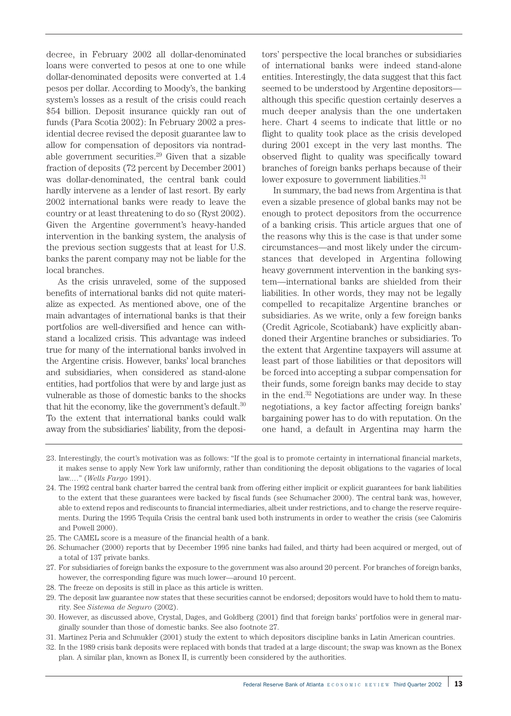decree, in February 2002 all dollar-denominated loans were converted to pesos at one to one while dollar-denominated deposits were converted at 1.4 pesos per dollar. According to Moody's, the banking system's losses as a result of the crisis could reach \$54 billion. Deposit insurance quickly ran out of funds (Para Scotia 2002): In February 2002 a presidential decree revised the deposit guarantee law to allow for compensation of depositors via nontradable government securities. $29$  Given that a sizable fraction of deposits (72 percent by December 2001) was dollar-denominated, the central bank could hardly intervene as a lender of last resort. By early 2002 international banks were ready to leave the country or at least threatening to do so (Ryst 2002). Given the Argentine government's heavy-handed intervention in the banking system, the analysis of the previous section suggests that at least for U.S. banks the parent company may not be liable for the local branches.

As the crisis unraveled, some of the supposed benefits of international banks did not quite materialize as expected. As mentioned above, one of the main advantages of international banks is that their portfolios are well-diversified and hence can withstand a localized crisis. This advantage was indeed true for many of the international banks involved in the Argentine crisis. However, banks' local branches and subsidiaries, when considered as stand-alone entities, had portfolios that were by and large just as vulnerable as those of domestic banks to the shocks that hit the economy, like the government's default. $30$ To the extent that international banks could walk away from the subsidiaries' liability, from the deposi-

tors' perspective the local branches or subsidiaries of international banks were indeed stand-alone entities. Interestingly, the data suggest that this fact seemed to be understood by Argentine depositors although this specific question certainly deserves a much deeper analysis than the one undertaken here. Chart 4 seems to indicate that little or no flight to quality took place as the crisis developed during 2001 except in the very last months. The observed flight to quality was specifically toward branches of foreign banks perhaps because of their lower exposure to government liabilities.<sup>31</sup>

In summary, the bad news from Argentina is that even a sizable presence of global banks may not be enough to protect depositors from the occurrence of a banking crisis. This article argues that one of the reasons why this is the case is that under some circumstances—and most likely under the circumstances that developed in Argentina following heavy government intervention in the banking system—international banks are shielded from their liabilities. In other words, they may not be legally compelled to recapitalize Argentine branches or subsidiaries. As we write, only a few foreign banks (Credit Agricole, Scotiabank) have explicitly abandoned their Argentine branches or subsidiaries. To the extent that Argentine taxpayers will assume at least part of those liabilities or that depositors will be forced into accepting a subpar compensation for their funds, some foreign banks may decide to stay in the end.32 Negotiations are under way. In these negotiations, a key factor affecting foreign banks' bargaining power has to do with reputation. On the one hand, a default in Argentina may harm the

- 23. Interestingly, the court's motivation was as follows: "If the goal is to promote certainty in international financial markets, it makes sense to apply New York law uniformly, rather than conditioning the deposit obligations to the vagaries of local law.…" (*Wells Fargo* 1991).
- 24. The 1992 central bank charter barred the central bank from offering either implicit or explicit guarantees for bank liabilities to the extent that these guarantees were backed by fiscal funds (see Schumacher 2000). The central bank was, however, able to extend repos and rediscounts to financial intermediaries, albeit under restrictions, and to change the reserve requirements. During the 1995 Tequila Crisis the central bank used both instruments in order to weather the crisis (see Calomiris and Powell 2000).
- 25. The CAMEL score is a measure of the financial health of a bank.
- 26. Schumacher (2000) reports that by December 1995 nine banks had failed, and thirty had been acquired or merged, out of a total of 137 private banks.
- 27. For subsidiaries of foreign banks the exposure to the government was also around 20 percent. For branches of foreign banks, however, the corresponding figure was much lower—around 10 percent.
- 28. The freeze on deposits is still in place as this article is written.
- 29. The deposit law guarantee now states that these securities cannot be endorsed; depositors would have to hold them to maturity. See *Sistema de Seguro* (2002).
- 30. However, as discussed above, Crystal, Dages, and Goldberg (2001) find that foreign banks' portfolios were in general marginally sounder than those of domestic banks. See also footnote 27.
- 31. Martinez Peria and Schmukler (2001) study the extent to which depositors discipline banks in Latin American countries.
- 32. In the 1989 crisis bank deposits were replaced with bonds that traded at a large discount; the swap was known as the Bonex plan. A similar plan, known as Bonex II, is currently been considered by the authorities.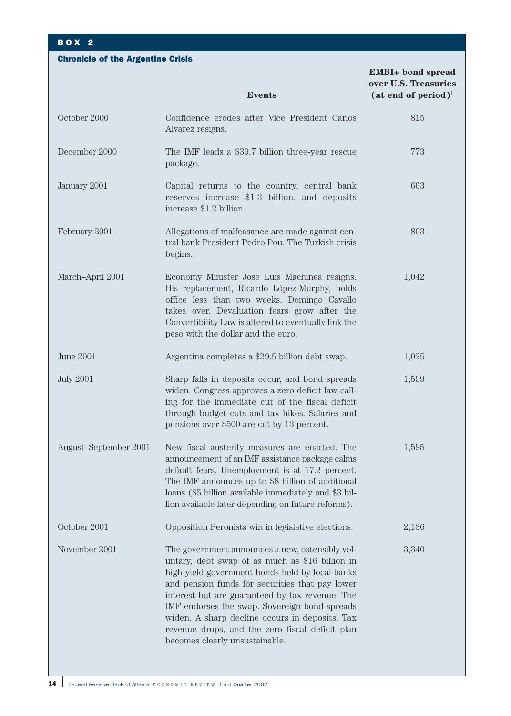## BOX 2

Chronicle of the Argentine Crisis

**EMBI+ bond spread over U.S. Treasuries Events** (at end of period)<sup>1</sup> October 2000 December 2000 January 2001 February 2001 March–April 2001 June 2001 July 2001 August–September 2001 October 2001 November 2001 Confidence erodes after Vice President Carlos Alvarez resigns. The IMF leads a \$39.7 billion three-year rescue package. Capital returns to the country, central bank reserves increase \$1.3 billion, and deposits increase \$1.2 billion. Allegations of malfeasance are made against central bank President Pedro Pou. The Turkish crisis begins. Economy Minister Jose Luis Machinea resigns. His replacement, Ricardo López-Murphy, holds office less than two weeks. Domingo Cavallo takes over. Devaluation fears grow after the Convertibility Law is altered to eventually link the peso with the dollar and the euro. Argentina completes a \$29.5 billion debt swap. Sharp falls in deposits occur, and bond spreads widen. Congress approves a zero deficit law calling for the immediate cut of the fiscal deficit through budget cuts and tax hikes. Salaries and pensions over \$500 are cut by 13 percent. New fiscal austerity measures are enacted. The announcement of an IMF assistance package calms default fears. Unemployment is at 17.2 percent. The IMF announces up to \$8 billion of additional loans (\$5 billion available immediately and \$3 billion available later depending on future reforms). Opposition Peronists win in legislative elections. The government announces a new, ostensibly voluntary, debt swap of as much as \$16 billion in high-yield government bonds held by local banks and pension funds for securities that pay lower interest but are guaranteed by tax revenue. The IMF endorses the swap. Sovereign bond spreads widen. A sharp decline occurs in deposits. Tax revenue drops, and the zero fiscal deficit plan becomes clearly unsustainable. 815 773 663 803 1,042 1,025 1,599 1,595 2,136 3,340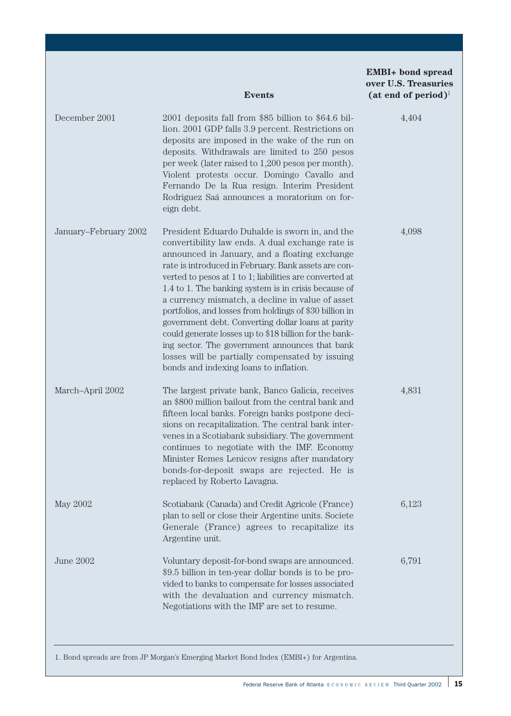|                       | <b>Events</b>                                                                                                                                                                                                                                                                                                                                                                                                                                                                                                                                                                                                                                                                                                | <b>EMBI+</b> bond spread<br>over U.S. Treasuries<br>(at end of period) <sup>1</sup> |
|-----------------------|--------------------------------------------------------------------------------------------------------------------------------------------------------------------------------------------------------------------------------------------------------------------------------------------------------------------------------------------------------------------------------------------------------------------------------------------------------------------------------------------------------------------------------------------------------------------------------------------------------------------------------------------------------------------------------------------------------------|-------------------------------------------------------------------------------------|
| December 2001         | 2001 deposits fall from \$85 billion to \$64.6 bil-<br>lion. 2001 GDP falls 3.9 percent. Restrictions on<br>deposits are imposed in the wake of the run on<br>deposits. Withdrawals are limited to 250 pesos<br>per week (later raised to 1,200 pesos per month).<br>Violent protests occur. Domingo Cavallo and<br>Fernando De la Rua resign. Interim President<br>Rodriguez Saá announces a moratorium on for-<br>eign debt.                                                                                                                                                                                                                                                                               | 4,404                                                                               |
| January-February 2002 | President Eduardo Duhalde is sworn in, and the<br>convertibility law ends. A dual exchange rate is<br>announced in January, and a floating exchange<br>rate is introduced in February. Bank assets are con-<br>verted to pesos at 1 to 1; liabilities are converted at<br>1.4 to 1. The banking system is in crisis because of<br>a currency mismatch, a decline in value of asset<br>portfolios, and losses from holdings of \$30 billion in<br>government debt. Converting dollar loans at parity<br>could generate losses up to \$18 billion for the bank-<br>ing sector. The government announces that bank<br>losses will be partially compensated by issuing<br>bonds and indexing loans to inflation. | 4,098                                                                               |
| March-April 2002      | The largest private bank, Banco Galicia, receives<br>an \$800 million bailout from the central bank and<br>fifteen local banks. Foreign banks postpone deci-<br>sions on recapitalization. The central bank inter-<br>venes in a Scotiabank subsidiary. The government<br>continues to negotiate with the IMF. Economy<br>Minister Remes Lenicov resigns after mandatory<br>bonds-for-deposit swaps are rejected. He is<br>replaced by Roberto Lavagna.                                                                                                                                                                                                                                                      | 4,831                                                                               |
| May 2002              | Scotiabank (Canada) and Credit Agricole (France)<br>plan to sell or close their Argentine units. Societe<br>Generale (France) agrees to recapitalize its<br>Argentine unit.                                                                                                                                                                                                                                                                                                                                                                                                                                                                                                                                  | 6,123                                                                               |
| June 2002             | Voluntary deposit-for-bond swaps are announced.<br>\$9.5 billion in ten-year dollar bonds is to be pro-<br>vided to banks to compensate for losses associated<br>with the devaluation and currency mismatch.<br>Negotiations with the IMF are set to resume.                                                                                                                                                                                                                                                                                                                                                                                                                                                 | 6,791                                                                               |

1. Bond spreads are from JP Morgan's Emerging Market Bond Index (EMBI+) for Argentina.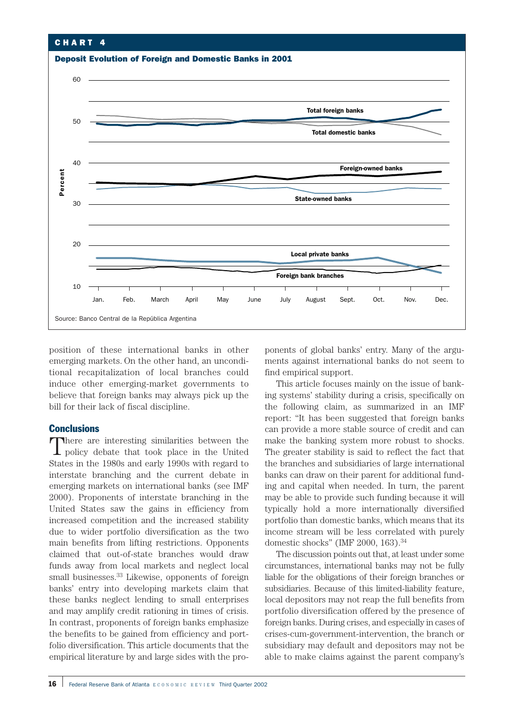

position of these international banks in other emerging markets. On the other hand, an unconditional recapitalization of local branches could induce other emerging-market governments to believe that foreign banks may always pick up the bill for their lack of fiscal discipline.

## **Conclusions**

There are interesting similarities between the policy debate that took place in the United States in the 1980s and early 1990s with regard to interstate branching and the current debate in emerging markets on international banks (see IMF 2000). Proponents of interstate branching in the United States saw the gains in efficiency from increased competition and the increased stability due to wider portfolio diversification as the two main benefits from lifting restrictions. Opponents claimed that out-of-state branches would draw funds away from local markets and neglect local small businesses.<sup>33</sup> Likewise, opponents of foreign banks' entry into developing markets claim that these banks neglect lending to small enterprises and may amplify credit rationing in times of crisis. In contrast, proponents of foreign banks emphasize the benefits to be gained from efficiency and portfolio diversification. This article documents that the empirical literature by and large sides with the proponents of global banks' entry. Many of the arguments against international banks do not seem to find empirical support.

This article focuses mainly on the issue of banking systems' stability during a crisis, specifically on the following claim, as summarized in an IMF report: "It has been suggested that foreign banks can provide a more stable source of credit and can make the banking system more robust to shocks. The greater stability is said to reflect the fact that the branches and subsidiaries of large international banks can draw on their parent for additional funding and capital when needed. In turn, the parent may be able to provide such funding because it will typically hold a more internationally diversified portfolio than domestic banks, which means that its income stream will be less correlated with purely domestic shocks" (IMF 2000, 163).34

The discussion points out that, at least under some circumstances, international banks may not be fully liable for the obligations of their foreign branches or subsidiaries. Because of this limited-liability feature, local depositors may not reap the full benefits from portfolio diversification offered by the presence of foreign banks. During crises, and especially in cases of crises-cum-government-intervention, the branch or subsidiary may default and depositors may not be able to make claims against the parent company's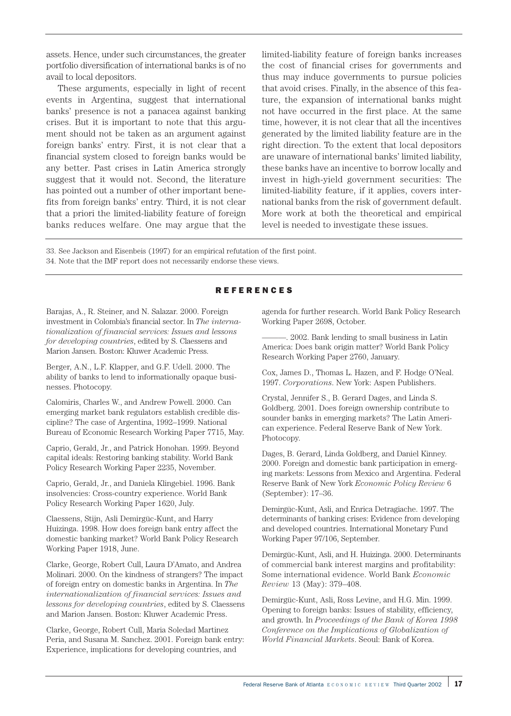assets. Hence, under such circumstances, the greater portfolio diversification of international banks is of no avail to local depositors.

These arguments, especially in light of recent events in Argentina, suggest that international banks' presence is not a panacea against banking crises. But it is important to note that this argument should not be taken as an argument against foreign banks' entry. First, it is not clear that a financial system closed to foreign banks would be any better. Past crises in Latin America strongly suggest that it would not. Second, the literature has pointed out a number of other important benefits from foreign banks' entry. Third, it is not clear that a priori the limited-liability feature of foreign banks reduces welfare. One may argue that the limited-liability feature of foreign banks increases the cost of financial crises for governments and thus may induce governments to pursue policies that avoid crises. Finally, in the absence of this feature, the expansion of international banks might not have occurred in the first place. At the same time, however, it is not clear that all the incentives generated by the limited liability feature are in the right direction. To the extent that local depositors are unaware of international banks' limited liability, these banks have an incentive to borrow locally and invest in high-yield government securities: The limited-liability feature, if it applies, covers international banks from the risk of government default. More work at both the theoretical and empirical level is needed to investigate these issues.

33. See Jackson and Eisenbeis (1997) for an empirical refutation of the first point.

34. Note that the IMF report does not necessarily endorse these views.

## REFERENCES

Barajas, A., R. Steiner, and N. Salazar. 2000. Foreign investment in Colombia's financial sector. In *The internationalization of financial services: Issues and lessons for developing countries*, edited by S. Claessens and Marion Jansen. Boston: Kluwer Academic Press.

Berger, A.N., L.F. Klapper, and G.F. Udell. 2000. The ability of banks to lend to informationally opaque businesses. Photocopy.

Calomiris, Charles W., and Andrew Powell. 2000. Can emerging market bank regulators establish credible discipline? The case of Argentina, 1992–1999. National Bureau of Economic Research Working Paper 7715, May.

Caprio, Gerald, Jr., and Patrick Honohan. 1999. Beyond capital ideals: Restoring banking stability. World Bank Policy Research Working Paper 2235, November.

Caprio, Gerald, Jr., and Daniela Klingebiel. 1996. Bank insolvencies: Cross-country experience. World Bank Policy Research Working Paper 1620, July.

Claessens, Stijn, Asli Demirgüc-Kunt, and Harry Huizinga. 1998. How does foreign bank entry affect the domestic banking market? World Bank Policy Research Working Paper 1918, June.

Clarke, George, Robert Cull, Laura D'Amato, and Andrea Molinari. 2000. On the kindness of strangers? The impact of foreign entry on domestic banks in Argentina. In *The internationalization of financial services: Issues and lessons for developing countries*, edited by S. Claessens and Marion Jansen. Boston: Kluwer Academic Press.

Clarke, George, Robert Cull, Maria Soledad Martinez Peria, and Susana M. Sanchez. 2001. Foreign bank entry: Experience, implications for developing countries, and

agenda for further research. World Bank Policy Research Working Paper 2698, October.

———. 2002. Bank lending to small business in Latin America: Does bank origin matter? World Bank Policy Research Working Paper 2760, January.

Cox, James D., Thomas L. Hazen, and F. Hodge O'Neal. 1997. *Corporations*. New York: Aspen Publishers.

Crystal, Jennifer S., B. Gerard Dages, and Linda S. Goldberg. 2001. Does foreign ownership contribute to sounder banks in emerging markets? The Latin American experience. Federal Reserve Bank of New York. Photocopy.

Dages, B. Gerard, Linda Goldberg, and Daniel Kinney. 2000. Foreign and domestic bank participation in emerging markets: Lessons from Mexico and Argentina. Federal Reserve Bank of New York *Economic Policy Review* 6 (September): 17–36.

Demirgüc-Kunt, Asli, and Enrica Detragiache. 1997. The determinants of banking crises: Evidence from developing and developed countries. International Monetary Fund Working Paper 97/106, September.

Demirgüc-Kunt, Asli, and H. Huizinga. 2000. Determinants of commercial bank interest margins and profitability: Some international evidence. World Bank *Economic Review* 13 (May): 379–408.

Demirgüc-Kunt, Asli, Ross Levine, and H.G. Min. 1999. Opening to foreign banks: Issues of stability, efficiency, and growth. In *Proceedings of the Bank of Korea 1998 Conference on the Implications of Globalization of World Financial Markets*. Seoul: Bank of Korea.